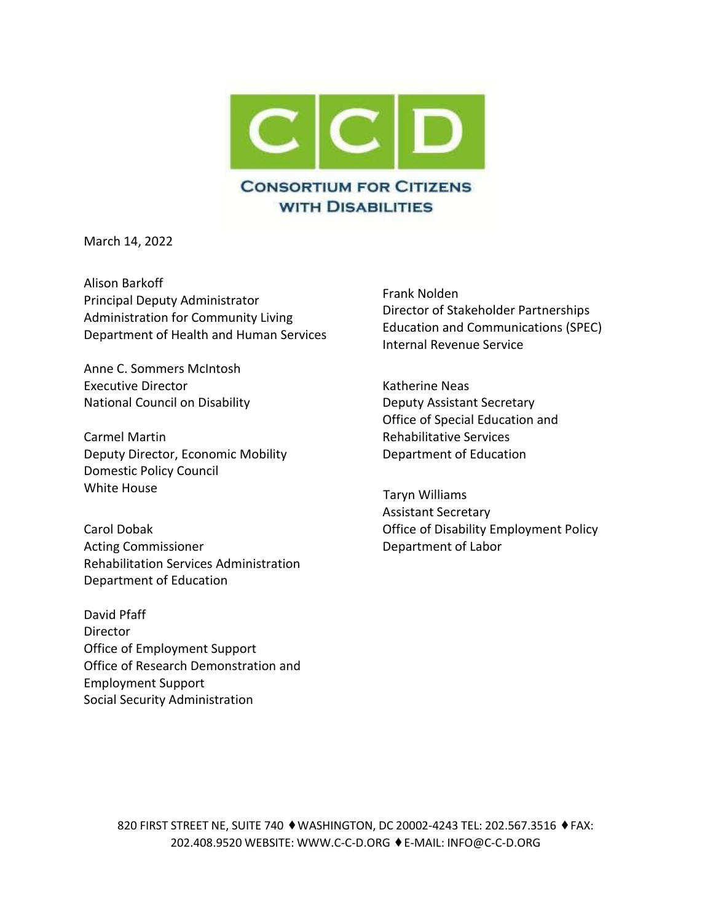

March 14, 2022

Alison Barkoff Principal Deputy Administrator Administration for Community Living Department of Health and Human Services

Anne C. Sommers McIntosh Executive Director National Council on Disability

Carmel Martin Deputy Director, Economic Mobility Domestic Policy Council White House

Carol Dobak Acting Commissioner Rehabilitation Services Administration Department of Education

David Pfaff **Director** Office of Employment Support Office of Research Demonstration and Employment Support Social Security Administration

Frank Nolden Director of Stakeholder Partnerships Education and Communications (SPEC) Internal Revenue Service

Katherine Neas Deputy Assistant Secretary Office of Special Education and Rehabilitative Services Department of Education

 Taryn Williams Assistant Secretary Office of Disability Employment Policy Department of Labor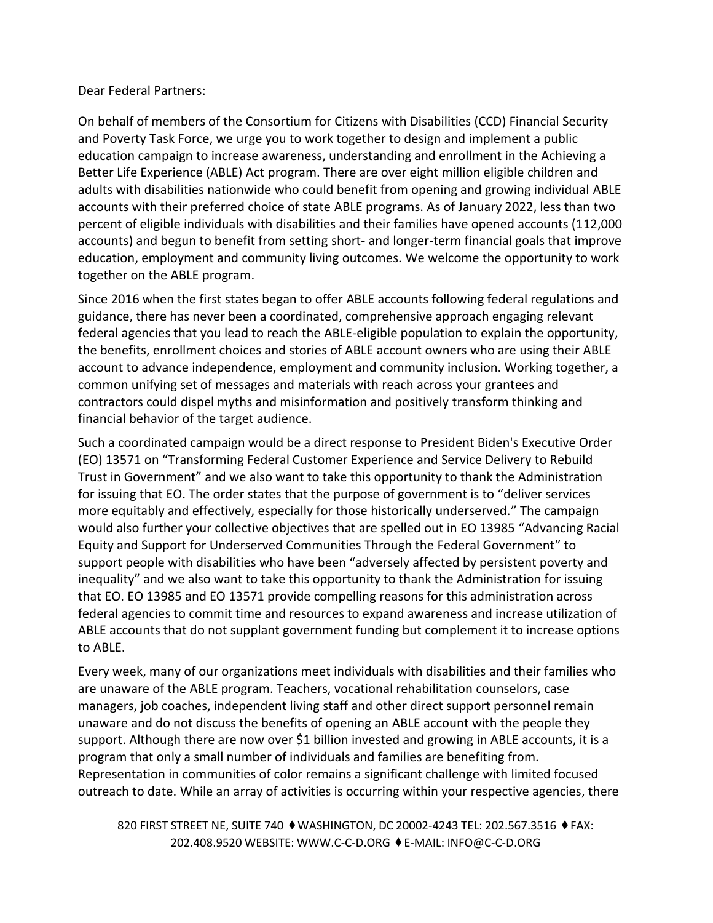## Dear Federal Partners:

On behalf of members of the Consortium for Citizens with Disabilities (CCD) Financial Security and Poverty Task Force, we urge you to work together to design and implement a public education campaign to increase awareness, understanding and enrollment in the Achieving a Better Life Experience (ABLE) Act program. There are over eight million eligible children and adults with disabilities nationwide who could benefit from opening and growing individual ABLE accounts with their preferred choice of state ABLE programs. As of January 2022, less than two percent of eligible individuals with disabilities and their families have opened accounts (112,000 accounts) and begun to benefit from setting short- and longer-term financial goals that improve education, employment and community living outcomes. We welcome the opportunity to work together on the ABLE program.

Since 2016 when the first states began to offer ABLE accounts following federal regulations and guidance, there has never been a coordinated, comprehensive approach engaging relevant federal agencies that you lead to reach the ABLE-eligible population to explain the opportunity, the benefits, enrollment choices and stories of ABLE account owners who are using their ABLE account to advance independence, employment and community inclusion. Working together, a common unifying set of messages and materials with reach across your grantees and contractors could dispel myths and misinformation and positively transform thinking and financial behavior of the target audience.

Such a coordinated campaign would be a direct response to President Biden's Executive Order (EO) 13571 on "Transforming Federal Customer Experience and Service Delivery to Rebuild Trust in Government" and we also want to take this opportunity to thank the Administration for issuing that EO. The order states that the purpose of government is to "deliver services more equitably and effectively, especially for those historically underserved." The campaign would also further your collective objectives that are spelled out in EO 13985 "Advancing Racial Equity and Support for Underserved Communities Through the Federal Government" to support people with disabilities who have been "adversely affected by persistent poverty and inequality" and we also want to take this opportunity to thank the Administration for issuing that EO. EO 13985 and EO 13571 provide compelling reasons for this administration across federal agencies to commit time and resources to expand awareness and increase utilization of ABLE accounts that do not supplant government funding but complement it to increase options to ABLE.

Every week, many of our organizations meet individuals with disabilities and their families who are unaware of the ABLE program. Teachers, vocational rehabilitation counselors, case managers, job coaches, independent living staff and other direct support personnel remain unaware and do not discuss the benefits of opening an ABLE account with the people they support. Although there are now over \$1 billion invested and growing in ABLE accounts, it is a program that only a small number of individuals and families are benefiting from. Representation in communities of color remains a significant challenge with limited focused outreach to date. While an array of activities is occurring within your respective agencies, there

820 FIRST STREET NE, SUITE 740 ♦ WASHINGTON, DC 20002-4243 TEL: 202.567.3516 ♦ FAX: 202.408.9520 WEBSITE: [WWW.C-C-D.ORG](http://www.c-c-d.org/) ⬧E-MAIL: [INFO@C-C-D.ORG](mailto:INFO@C-C-D.ORG)